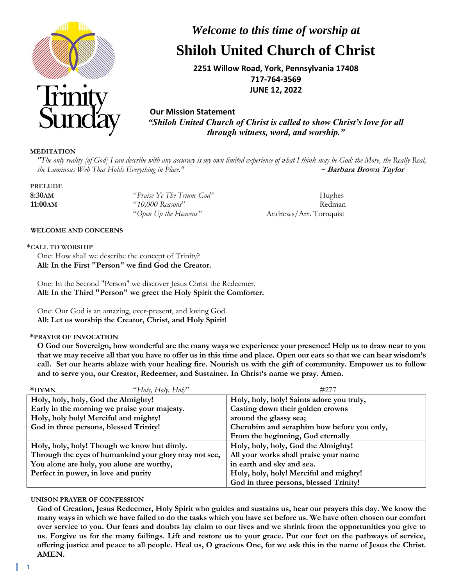



## *Welcome to this time of worship at*

# **Shiloh United Church of Christ**

**2251 Willow Road, York, Pennsylvania 17408 717-764-3569 JUNE 12, 2022**

 **Our Mission Statement** *"Shiloh United Church of Christ is called to show Christ's love for all through witness, word, and worship."*

#### **MEDITATION**

*"The only reality [of God] I can describe with any accuracy is my own limited experience of what I think may be God: the More, the Really Real, the Luminous Web That Holds Everything in Place."* **~ Barbara Brown Taylor**

| <b>PRELUDE</b> |                            |                        |
|----------------|----------------------------|------------------------|
| 8:30AM         | "Praise Ye The Triune God" | <b>Hughes</b>          |
| 11:00 AM       | $40,000$ Reasons"          | Redman                 |
|                | "Open Up the Heavens"      | Andrews/Arr. Tornquist |

#### **WELCOME AND CONCERNS**

#### **\*CALL TO WORSHIP**

One: How shall we describe the concept of Trinity? **All: In the First "Person" we find God the Creator.**

One: In the Second "Person" we discover Jesus Christ the Redeemer. **All: In the Third "Person" we greet the Holy Spirit the Comforter.**

One: Our God is an amazing, ever-present, and loving God. **All: Let us worship the Creator, Christ, and Holy Spirit!**

#### **\*PRAYER OF INVOCATION**

**O God our Sovereign, how wonderful are the many ways we experience your presence! Help us to draw near to you that we may receive all that you have to offer us in this time and place. Open our ears so that we can hear wisdom's call. Set our hearts ablaze with your healing fire. Nourish us with the gift of community. Empower us to follow and to serve you, our Creator, Redeemer, and Sustainer. In Christ's name we pray. Amen.**

| *HYMN<br>"Holy, Holy, Holy"                           | #277                                       |
|-------------------------------------------------------|--------------------------------------------|
| Holy, holy, holy, God the Almighty!                   | Holy, holy, holy! Saints adore you truly,  |
| Early in the morning we praise your majesty.          | Casting down their golden crowns           |
| Holy, holy holy! Merciful and mighty!                 | around the glassy sea;                     |
| God in three persons, blessed Trinity!                | Cherubim and seraphim bow before you only, |
|                                                       | From the beginning, God eternally          |
| Holy, holy, holy! Though we know but dimly.           | Holy, holy, holy, God the Almighty!        |
| Through the eyes of humankind your glory may not see, | All your works shall praise your name      |
| You alone are holy, you alone are worthy,             | in earth and sky and sea.                  |
| Perfect in power, in love and purity                  | Holy, holy, holy! Merciful and mighty!     |
|                                                       | God in three persons, blessed Trinity!     |

#### **UNISON PRAYER OF CONFESSION**

**God of Creation, Jesus Redeemer, Holy Spirit who guides and sustains us, hear our prayers this day. We know the many ways in which we have failed to do the tasks which you have set before us. We have often chosen our comfort over service to you. Our fears and doubts lay claim to our lives and we shrink from the opportunities you give to us. Forgive us for the many failings. Lift and restore us to your grace. Put our feet on the pathways of service, offering justice and peace to all people. Heal us, O gracious One, for we ask this in the name of Jesus the Christ. AMEN.**

Н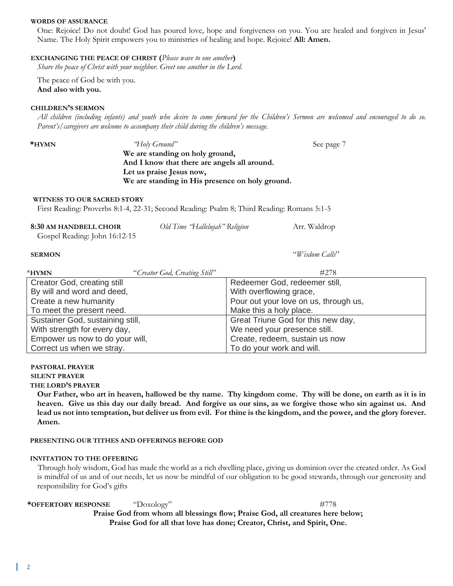#### **WORDS OF ASSURANCE**

One: Rejoice! Do not doubt! God has poured love, hope and forgiveness on you. You are healed and forgiven in Jesus' Name. The Holy Spirit empowers you to ministries of healing and hope. Rejoice! **All: Amen.**

#### **EXCHANGING THE PEACE OF CHRIST (***Please wave to one another***)**

*Share the peace of Christ with your neighbor. Greet one another in the Lord.*

The peace of God be with you. **And also with you.**

#### **CHILDREN'S SERMON**

*All children (including infants) and youth who desire to come forward for the Children's Sermon are welcomed and encouraged to do so. Parent's/caregivers are welcome to accompany their child during the children's message.*

**\*HYMN** *"Holy Ground"* See page 7 **We are standing on holy ground, And I know that there are angels all around. Let us praise Jesus now, We are standing in His presence on holy ground.**

#### **WITNESS TO OUR SACRED STORY**

First Reading: Proverbs 8:1-4, 22-31; Second Reading: Psalm 8; Third Reading: Romans 5:1-5

#### **8:30 AM HANDBELL CHOIR** *Old Time "Hallelujah" Religion* Arr. Waldrop

Gospel Reading: John 16:12-15

**SERMON** "*Wisdom Calls*"

| *HYMN                            | "Creator God, Creating Still" | #278                                  |
|----------------------------------|-------------------------------|---------------------------------------|
| Creator God, creating still      |                               | Redeemer God, redeemer still,         |
| By will and word and deed,       |                               | With overflowing grace,               |
| Create a new humanity            |                               | Pour out your love on us, through us, |
| To meet the present need.        |                               | Make this a holy place.               |
| Sustainer God, sustaining still, |                               | Great Triune God for this new day,    |
| With strength for every day,     |                               | We need your presence still.          |
| Empower us now to do your will,  |                               | Create, redeem, sustain us now        |
| Correct us when we stray.        |                               | To do your work and will.             |

## **PASTORAL PRAYER SILENT PRAYER**

 **THE LORD'S PRAYER**

**Our Father, who art in heaven, hallowed be thy name. Thy kingdom come. Thy will be done, on earth as it is in heaven. Give us this day our daily bread. And forgive us our sins, as we forgive those who sin against us. And lead us not into temptation, but deliver us from evil. For thine is the kingdom, and the power, and the glory forever. Amen.**

#### **PRESENTING OUR TITHES AND OFFERINGS BEFORE GOD**

#### **INVITATION TO THE OFFERING**

Through holy wisdom, God has made the world as a rich dwelling place, giving us dominion over the created order. As God is mindful of us and of our needs, let us now be mindful of our obligation to be good stewards, through our generosity and responsibility for God's gifts

#### **\*OFFERTORY RESPONSE** "Doxology" #778

**Praise God from whom all blessings flow; Praise God, all creatures here below; Praise God for all that love has done; Creator, Christ, and Spirit, One.**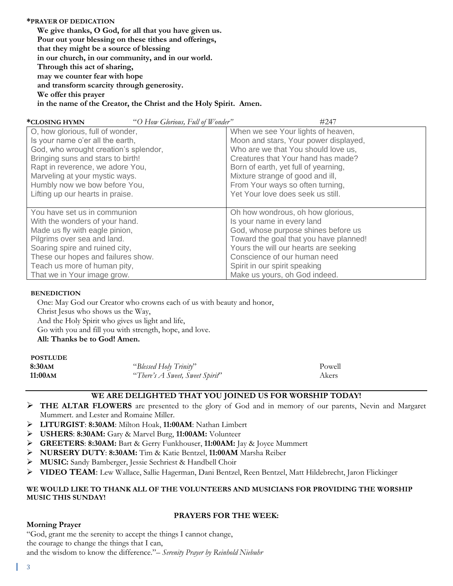#### **\*PRAYER OF DEDICATION**

**We give thanks, O God, for all that you have given us. Pour out your blessing on these tithes and offerings, that they might be a source of blessing in our church, in our community, and in our world. Through this act of sharing, may we counter fear with hope and transform scarcity through generosity. We offer this prayer in the name of the Creator, the Christ and the Holy Spirit. Amen.**

| "O How Glorious, Full of Wonder"<br>*CLOSING HYMN | #247                                   |
|---------------------------------------------------|----------------------------------------|
| O, how glorious, full of wonder,                  | When we see Your lights of heaven,     |
| Is your name o'er all the earth,                  | Moon and stars, Your power displayed,  |
| God, who wrought creation's splendor,             | Who are we that You should love us,    |
| Bringing suns and stars to birth!                 | Creatures that Your hand has made?     |
| Rapt in reverence, we adore You,                  | Born of earth, yet full of yearning,   |
| Marveling at your mystic ways.                    | Mixture strange of good and ill,       |
| Humbly now we bow before You,                     | From Your ways so often turning,       |
| Lifting up our hearts in praise.                  | Yet Your love does seek us still.      |
|                                                   |                                        |
| You have set us in communion                      | Oh how wondrous, oh how glorious,      |
| With the wonders of your hand.                    | Is your name in every land             |
| Made us fly with eagle pinion,                    | God, whose purpose shines before us    |
| Pilgrims over sea and land.                       | Toward the goal that you have planned! |
| Soaring spire and ruined city,                    | Yours the will our hearts are seeking  |
| These our hopes and failures show.                | Conscience of our human need           |
| Teach us more of human pity,                      | Spirit in our spirit speaking          |
| That we in Your image grow.                       | Make us yours, oh God indeed.          |

#### **BENEDICTION**

One: May God our Creator who crowns each of us with beauty and honor, Christ Jesus who shows us the Way, And the Holy Spirit who gives us light and life, Go with you and fill you with strength, hope, and love. **All: Thanks be to God! Amen.**

## **POSTLUDE**

| 8:30am   | "Blessed Holy Trinity"          | Powell |
|----------|---------------------------------|--------|
| 11:00 AM | "There's A Sweet, Sweet Spirit" | Akers  |

#### **WE ARE DELIGHTED THAT YOU JOINED US FOR WORSHIP TODAY!**

- ➢ **THE ALTAR FLOWERS** are presented to the glory of God and in memory of our parents, Nevin and Margaret Mummert. and Lester and Romaine Miller.
- ➢ **LITURGIST**: **8:30AM**: Milton Hoak, **11:00AM**: Nathan Limbert
- ➢ **USHERS**: **8:30AM:** Gary & Marvel Burg, **11:00AM:** Volunteer
- ➢ **GREETERS**: **8:30AM:** Bart & Gerry Funkhouser, **11:00AM:** Jay & Joyce Mummert
- ➢ **NURSERY DUTY**: **8:30AM:** Tim & Katie Bentzel, **11:00AM** Marsha Reiber
- ➢ **MUSIC:** Sandy Bamberger, Jessie Sechriest & Handbell Choir
- ➢ **VIDEO TEAM**: Lew Wallace, Sallie Hagerman, Dani Bentzel, Reen Bentzel, Matt Hildebrecht, Jaron Flickinger

#### **WE WOULD LIKE TO THANK ALL OF THE VOLUNTEERS AND MUSICIANS FOR PROVIDING THE WORSHIP MUSIC THIS SUNDAY!**

#### **Morning Prayer**

#### **PRAYERS FOR THE WEEK:**

"God, grant me the serenity to accept the things I cannot change, the courage to change the things that I can, and the wisdom to know the difference."*– Serenity Prayer by Reinhold Niebuhr*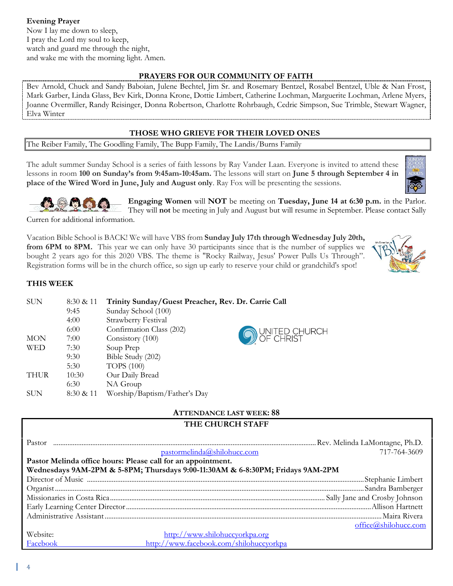Now I lay me down to sleep, I pray the Lord my soul to keep, watch and guard me through the night, and wake me with the morning light. Amen.

## **PRAYERS FOR OUR COMMUNITY OF FAITH**

Bev Arnold, Chuck and Sandy Baboian, Julene Bechtel, Jim Sr. and Rosemary Bentzel, Rosabel Bentzel, Uble & Nan Frost, Mark Garber, Linda Glass, Bev Kirk, Donna Krone, Dottie Limbert, Catherine Lochman, Marguerite Lochman, Arlene Myers, Joanne Overmiller, Randy Reisinger, Donna Robertson, Charlotte Rohrbaugh, Cedric Simpson, Sue Trimble, Stewart Wagner, Elva Winter

## **THOSE WHO GRIEVE FOR THEIR LOVED ONES**

The Reiber Family, The Goodling Family, The Bupp Family, The Landis/Burns Family

The adult summer Sunday School is a series of faith lessons by Ray Vander Laan. Everyone is invited to attend these lessons in room **100 on Sunday's from 9:45am-10:45am.** The lessons will start on **June 5 through September 4 in place of the Wired Word in June, July and August only**. Ray Fox will be presenting the sessions.

> **Engaging Women** will **NOT** be meeting on **Tuesday, June 14 at 6:30 p.m.** in the Parlor. They will **not** be meeting in July and August but will resume in September. Please contact Sally

Curren for additional information.

Vacation Bible School is BACK! We will have VBS from **Sunday July 17th through Wednesday July 20th, from 6PM to 8PM.** This year we can only have 30 participants since that is the number of supplies we bought 2 years ago for this 2020 VBS. The theme is "Rocky Railway, Jesus' Power Pulls Us Through". Registration forms will be in the church office, so sign up early to reserve your child or grandchild's spot!

## **THIS WEEK**

| <b>SUN</b>  | $8:30 \& 11$ | Trinity Sunday/Guest Preacher, Rev. Dr. Carrie Call |                            |
|-------------|--------------|-----------------------------------------------------|----------------------------|
|             | 9:45         | Sunday School (100)                                 |                            |
|             | 4:00         | Strawberry Festival                                 |                            |
|             | 6:00         | Confirmation Class (202)                            |                            |
| <b>MON</b>  | 7:00         | Consistory (100)                                    | UNITED CHURCH<br>OF CHRIST |
| <b>WED</b>  | 7:30         | Soup Prep                                           |                            |
|             | 9:30         | Bible Study (202)                                   |                            |
|             | 5:30         | <b>TOPS</b> (100)                                   |                            |
| <b>THUR</b> | 10:30        | Our Daily Bread                                     |                            |
|             | 6:30         | NA Group                                            |                            |
| SUN         | 8:30 & 11    | Worship/Baptism/Father's Day                        |                            |

## **ATTENDANCE LAST WEEK: 88**

## **THE CHURCH STAFF**

| Pastor                                                                         |                                         |                      |
|--------------------------------------------------------------------------------|-----------------------------------------|----------------------|
|                                                                                | pastormelinda@shilohucc.com             | 717-764-3609         |
| Pastor Melinda office hours: Please call for an appointment.                   |                                         |                      |
| Wednesdays 9AM-2PM & 5-8PM; Thursdays 9:00-11:30AM & 6-8:30PM; Fridays 9AM-2PM |                                         |                      |
|                                                                                |                                         |                      |
|                                                                                |                                         |                      |
|                                                                                |                                         |                      |
|                                                                                |                                         |                      |
|                                                                                |                                         |                      |
|                                                                                |                                         | office@shilohucc.com |
| Website:                                                                       | http://www.shilohuccyorkpa.org          |                      |
| Facebook                                                                       | http://www.facebook.com/shilohuccyorkpa |                      |